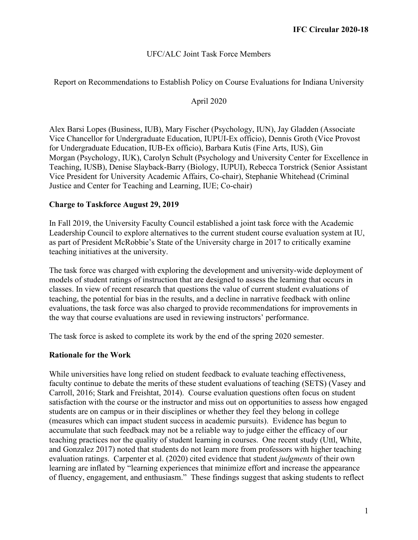### UFC/ALC Joint Task Force Members

Report on Recommendations to Establish Policy on Course Evaluations for Indiana University

#### April 2020

Alex Barsi Lopes (Business, IUB), Mary Fischer (Psychology, IUN), Jay Gladden (Associate Vice Chancellor for Undergraduate Education, IUPUI-Ex officio), Dennis Groth (Vice Provost for Undergraduate Education, IUB-Ex officio), Barbara Kutis (Fine Arts, IUS), Gin Morgan (Psychology, IUK), Carolyn Schult (Psychology and University Center for Excellence in Teaching, IUSB), Denise Slayback-Barry (Biology, IUPUI), Rebecca Torstrick (Senior Assistant Vice President for University Academic Affairs, Co-chair), Stephanie Whitehead (Criminal Justice and Center for Teaching and Learning, IUE; Co-chair)

#### **Charge to Taskforce August 29, 2019**

In Fall 2019, the University Faculty Council established a joint task force with the Academic Leadership Council to explore alternatives to the current student course evaluation system at IU, as part of President McRobbie's State of the University charge in 2017 to critically examine teaching initiatives at the university.

The task force was charged with exploring the development and university-wide deployment of models of student ratings of instruction that are designed to assess the learning that occurs in classes. In view of recent research that questions the value of current student evaluations of teaching, the potential for bias in the results, and a decline in narrative feedback with online evaluations, the task force was also charged to provide recommendations for improvements in the way that course evaluations are used in reviewing instructors' performance.

The task force is asked to complete its work by the end of the spring 2020 semester.

#### **Rationale for the Work**

While universities have long relied on student feedback to evaluate teaching effectiveness, faculty continue to debate the merits of these student evaluations of teaching (SETS) (Vasey and Carroll, 2016; Stark and Freishtat, 2014). Course evaluation questions often focus on student satisfaction with the course or the instructor and miss out on opportunities to assess how engaged students are on campus or in their disciplines or whether they feel they belong in college (measures which can impact student success in academic pursuits). Evidence has begun to accumulate that such feedback may not be a reliable way to judge either the efficacy of our teaching practices nor the quality of student learning in courses. One recent study (Uttl, White, and Gonzalez 2017) noted that students do not learn more from professors with higher teaching evaluation ratings. Carpenter et al. (2020) cited evidence that student *judgments* of their own learning are inflated by "learning experiences that minimize effort and increase the appearance of fluency, engagement, and enthusiasm." These findings suggest that asking students to reflect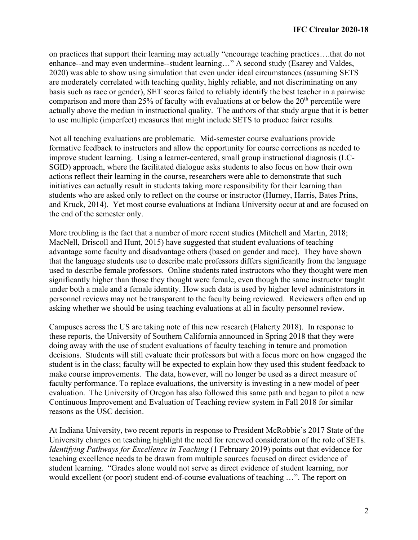on practices that support their learning may actually "encourage teaching practices….that do not enhance--and may even undermine--student learning…" A second study (Esarey and Valdes, 2020) was able to show using simulation that even under ideal circumstances (assuming SETS are moderately correlated with teaching quality, highly reliable, and not discriminating on any basis such as race or gender), SET scores failed to reliably identify the best teacher in a pairwise comparison and more than 25% of faculty with evaluations at or below the  $20<sup>th</sup>$  percentile were actually above the median in instructional quality. The authors of that study argue that it is better to use multiple (imperfect) measures that might include SETS to produce fairer results.

Not all teaching evaluations are problematic. Mid-semester course evaluations provide formative feedback to instructors and allow the opportunity for course corrections as needed to improve student learning. Using a learner-centered, small group instructional diagnosis (LC-SGID) approach, where the facilitated dialogue asks students to also focus on how their own actions reflect their learning in the course, researchers were able to demonstrate that such initiatives can actually result in students taking more responsibility for their learning than students who are asked only to reflect on the course or instructor (Hurney, Harris, Bates Prins, and Kruck, 2014). Yet most course evaluations at Indiana University occur at and are focused on the end of the semester only.

More troubling is the fact that a number of more recent studies (Mitchell and Martin, 2018; MacNell, Driscoll and Hunt, 2015) have suggested that student evaluations of teaching advantage some faculty and disadvantage others (based on gender and race). They have shown that the language students use to describe male professors differs significantly from the language used to describe female professors. Online students rated instructors who they thought were men significantly higher than those they thought were female, even though the same instructor taught under both a male and a female identity. How such data is used by higher level administrators in personnel reviews may not be transparent to the faculty being reviewed. Reviewers often end up asking whether we should be using teaching evaluations at all in faculty personnel review.

Campuses across the US are taking note of this new research (Flaherty 2018). In response to these reports, the University of Southern California announced in Spring 2018 that they were doing away with the use of student evaluations of faculty teaching in tenure and promotion decisions. Students will still evaluate their professors but with a focus more on how engaged the student is in the class; faculty will be expected to explain how they used this student feedback to make course improvements. The data, however, will no longer be used as a direct measure of faculty performance. To replace evaluations, the university is investing in a new model of peer evaluation. The University of Oregon has also followed this same path and began to pilot a new Continuous Improvement and Evaluation of Teaching review system in Fall 2018 for similar reasons as the USC decision.

At Indiana University, two recent reports in response to President McRobbie's 2017 State of the University charges on teaching highlight the need for renewed consideration of the role of SETs. *Identifying Pathways for Excellence in Teaching* (1 February 2019) points out that evidence for teaching excellence needs to be drawn from multiple sources focused on direct evidence of student learning. "Grades alone would not serve as direct evidence of student learning, nor would excellent (or poor) student end-of-course evaluations of teaching …". The report on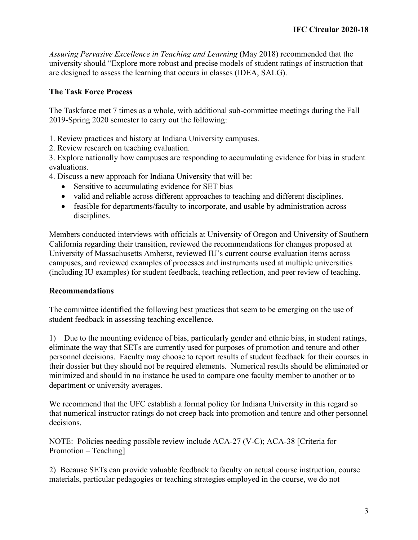*Assuring Pervasive Excellence in Teaching and Learning* (May 2018) recommended that the university should "Explore more robust and precise models of student ratings of instruction that are designed to assess the learning that occurs in classes (IDEA, SALG).

## **The Task Force Process**

The Taskforce met 7 times as a whole, with additional sub-committee meetings during the Fall 2019-Spring 2020 semester to carry out the following:

1. Review practices and history at Indiana University campuses.

2. Review research on teaching evaluation.

3. Explore nationally how campuses are responding to accumulating evidence for bias in student evaluations.

4. Discuss a new approach for Indiana University that will be:

- Sensitive to accumulating evidence for SET bias
- valid and reliable across different approaches to teaching and different disciplines.
- feasible for departments/faculty to incorporate, and usable by administration across disciplines.

Members conducted interviews with officials at University of Oregon and University of Southern California regarding their transition, reviewed the recommendations for changes proposed at University of Massachusetts Amherst, reviewed IU's current course evaluation items across campuses, and reviewed examples of processes and instruments used at multiple universities (including IU examples) for student feedback, teaching reflection, and peer review of teaching.

### **Recommendations**

The committee identified the following best practices that seem to be emerging on the use of student feedback in assessing teaching excellence.

1) Due to the mounting evidence of bias, particularly gender and ethnic bias, in student ratings, eliminate the way that SETs are currently used for purposes of promotion and tenure and other personnel decisions. Faculty may choose to report results of student feedback for their courses in their dossier but they should not be required elements. Numerical results should be eliminated or minimized and should in no instance be used to compare one faculty member to another or to department or university averages.

We recommend that the UFC establish a formal policy for Indiana University in this regard so that numerical instructor ratings do not creep back into promotion and tenure and other personnel decisions.

NOTE: Policies needing possible review include ACA-27 (V-C); ACA-38 [Criteria for Promotion – Teaching]

2) Because SETs can provide valuable feedback to faculty on actual course instruction, course materials, particular pedagogies or teaching strategies employed in the course, we do not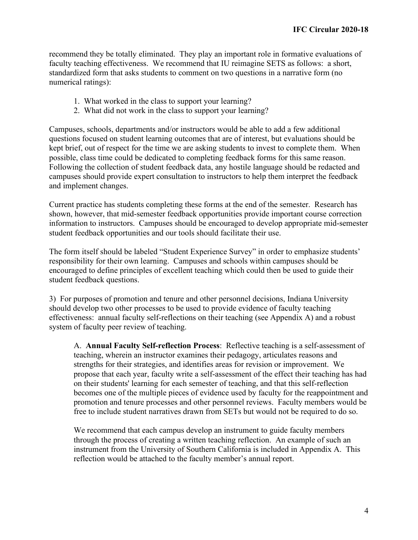recommend they be totally eliminated. They play an important role in formative evaluations of faculty teaching effectiveness. We recommend that IU reimagine SETS as follows: a short, standardized form that asks students to comment on two questions in a narrative form (no numerical ratings):

- 1. What worked in the class to support your learning?
- 2. What did not work in the class to support your learning?

Campuses, schools, departments and/or instructors would be able to add a few additional questions focused on student learning outcomes that are of interest, but evaluations should be kept brief, out of respect for the time we are asking students to invest to complete them. When possible, class time could be dedicated to completing feedback forms for this same reason. Following the collection of student feedback data, any hostile language should be redacted and campuses should provide expert consultation to instructors to help them interpret the feedback and implement changes.

Current practice has students completing these forms at the end of the semester. Research has shown, however, that mid-semester feedback opportunities provide important course correction information to instructors. Campuses should be encouraged to develop appropriate mid-semester student feedback opportunities and our tools should facilitate their use.

The form itself should be labeled "Student Experience Survey" in order to emphasize students' responsibility for their own learning. Campuses and schools within campuses should be encouraged to define principles of excellent teaching which could then be used to guide their student feedback questions.

3) For purposes of promotion and tenure and other personnel decisions, Indiana University should develop two other processes to be used to provide evidence of faculty teaching effectiveness: annual faculty self-reflections on their teaching (see Appendix A) and a robust system of faculty peer review of teaching.

A. **Annual Faculty Self-reflection Process**: Reflective teaching is a self-assessment of teaching, wherein an instructor examines their pedagogy, articulates reasons and strengths for their strategies, and identifies areas for revision or improvement. We propose that each year, faculty write a self-assessment of the effect their teaching has had on their students' learning for each semester of teaching, and that this self-reflection becomes one of the multiple pieces of evidence used by faculty for the reappointment and promotion and tenure processes and other personnel reviews. Faculty members would be free to include student narratives drawn from SETs but would not be required to do so.

We recommend that each campus develop an instrument to guide faculty members through the process of creating a written teaching reflection. An example of such an instrument from the University of Southern California is included in Appendix A. This reflection would be attached to the faculty member's annual report.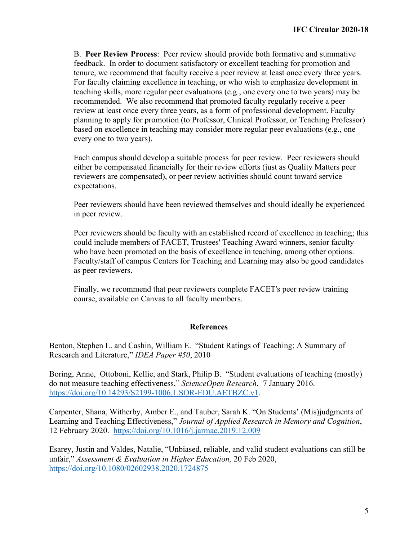B. **Peer Review Process**: Peer review should provide both formative and summative feedback. In order to document satisfactory or excellent teaching for promotion and tenure, we recommend that faculty receive a peer review at least once every three years. For faculty claiming excellence in teaching, or who wish to emphasize development in teaching skills, more regular peer evaluations (e.g., one every one to two years) may be recommended. We also recommend that promoted faculty regularly receive a peer review at least once every three years, as a form of professional development. Faculty planning to apply for promotion (to Professor, Clinical Professor, or Teaching Professor) based on excellence in teaching may consider more regular peer evaluations (e.g., one every one to two years).

Each campus should develop a suitable process for peer review. Peer reviewers should either be compensated financially for their review efforts (just as Quality Matters peer reviewers are compensated), or peer review activities should count toward service expectations.

Peer reviewers should have been reviewed themselves and should ideally be experienced in peer review.

Peer reviewers should be faculty with an established record of excellence in teaching; this could include members of FACET, Trustees' Teaching Award winners, senior faculty who have been promoted on the basis of excellence in teaching, among other options. Faculty/staff of campus Centers for Teaching and Learning may also be good candidates as peer reviewers.

Finally, we recommend that peer reviewers complete FACET's peer review training course, available on Canvas to all faculty members.

### **References**

Benton, Stephen L. and Cashin, William E. "Student Ratings of Teaching: A Summary of Research and Literature," *IDEA Paper #50*, 2010

Boring, Anne, Ottoboni, Kellie, and Stark, Philip B. "Student evaluations of teaching (mostly) do not measure teaching effectiveness," *ScienceOpen Research*, 7 January 2016. [https://doi.org/10.14293/S2199-1006.1.SOR-EDU.AETBZC.v1.](https://doi.org/10.14293/S2199-1006.1.SOR-EDU.AETBZC.v1)

Carpenter, Shana, Witherby, Amber E., and Tauber, Sarah K. "On Students' (Mis)judgments of Learning and Teaching Effectiveness," *Journal of Applied Research in Memory and Cognition*, 12 February 2020. <https://doi.org/10.1016/j.jarmac.2019.12.009>

Esarey, Justin and Valdes, Natalie, "Unbiased, reliable, and valid student evaluations can still be unfair," *Assessment & Evaluation in Higher Education,* 20 Feb 2020, <https://doi.org/10.1080/02602938.2020.1724875>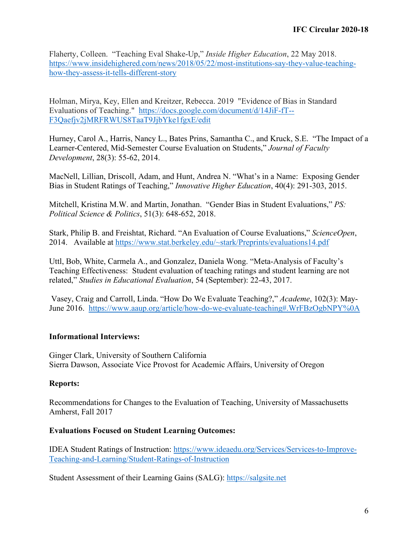Flaherty, Colleen. "Teaching Eval Shake-Up," *Inside Higher Education*, 22 May 2018. [https://www.insidehighered.com/news/2018/05/22/most-institutions-say-they-value-teaching](https://www.insidehighered.com/news/2018/05/22/most-institutions-say-they-value-teaching-how-they-assess-it-tells-different-story)[how-they-assess-it-tells-different-story](https://www.insidehighered.com/news/2018/05/22/most-institutions-say-they-value-teaching-how-they-assess-it-tells-different-story)

Holman, Mirya, Key, Ellen and Kreitzer, Rebecca. 2019 "Evidence of Bias in Standard Evaluations of Teaching." [https://docs.google.com/document/d/14JiF-fT--](https://docs.google.com/document/d/14JiF-fT--F3Qaefjv2jMRFRWUS8TaaT9JjbYke1fgxE/edit) [F3Qaefjv2jMRFRWUS8TaaT9JjbYke1fgxE/edit](https://docs.google.com/document/d/14JiF-fT--F3Qaefjv2jMRFRWUS8TaaT9JjbYke1fgxE/edit)

Hurney, Carol A., Harris, Nancy L., Bates Prins, Samantha C., and Kruck, S.E. "The Impact of a Learner-Centered, Mid-Semester Course Evaluation on Students," *Journal of Faculty Development*, 28(3): 55-62, 2014.

MacNell, Lillian, Driscoll, Adam, and Hunt, Andrea N. "What's in a Name: Exposing Gender Bias in Student Ratings of Teaching," *Innovative Higher Education*, 40(4): 291-303, 2015.

Mitchell, Kristina M.W. and Martin, Jonathan. "Gender Bias in Student Evaluations," *PS: Political Science & Politics*, 51(3): 648-652, 2018.

Stark, Philip B. and Freishtat, Richard. "An Evaluation of Course Evaluations," *ScienceOpen*, 2014. Available at [https://www.stat.berkeley.edu/~stark/Preprints/evaluations14.pdf](https://www.stat.berkeley.edu/%7Estark/Preprints/evaluations14.pdf)

Uttl, Bob, White, Carmela A., and Gonzalez, Daniela Wong. "Meta-Analysis of Faculty's Teaching Effectiveness: Student evaluation of teaching ratings and student learning are not related," *Studies in Educational Evaluation*, 54 (September): 22-43, 2017.

Vasey, Craig and Carroll, Linda. "How Do We Evaluate Teaching?," *Academe*, 102(3): May-June 2016. <https://www.aaup.org/article/how-do-we-evaluate-teaching#.WrFBzOgbNPY%0A>

### **Informational Interviews:**

Ginger Clark, University of Southern California Sierra Dawson, Associate Vice Provost for Academic Affairs, University of Oregon

### **Reports:**

Recommendations for Changes to the Evaluation of Teaching, University of Massachusetts Amherst, Fall 2017

#### **Evaluations Focused on Student Learning Outcomes:**

IDEA Student Ratings of Instruction: [https://www.ideaedu.org/Services/Services-to-Improve-](https://www.ideaedu.org/Services/Services-to-Improve-Teaching-and-Learning/Student-Ratings-of-Instruction)[Teaching-and-Learning/Student-Ratings-of-Instruction](https://www.ideaedu.org/Services/Services-to-Improve-Teaching-and-Learning/Student-Ratings-of-Instruction)

Student Assessment of their Learning Gains (SALG): [https://salgsite.net](https://salgsite.net/)